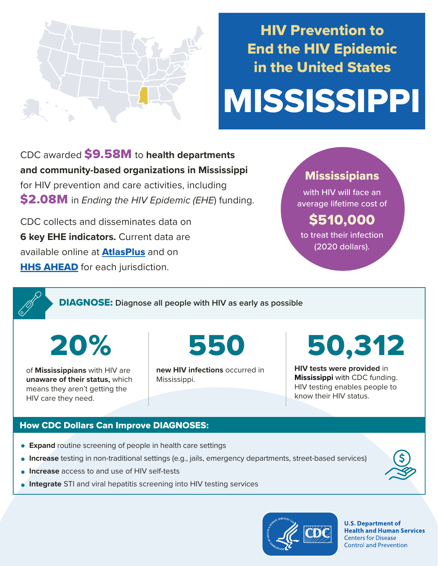

# HIV Prevention to End the HIV Epidemic in the United States

# MISSISSIPPI

CDC awarded \$9.58M to **health departments and community-based organizations in Mississippi**  for HIV prevention and care activities, including \$2.08M in *Ending the HIV Epidemic (EHE*) funding.

CDC collects and disseminates data on **6 key EHE indicators.** Current data are available online at **[AtlasPlus](https://www.cdc.gov/nchhstp/atlas/index.htm)** and on **[HHS AHEAD](https://ahead.hiv.gov/)** for each jurisdiction.

### **Mississipians**

with HIV will face an average lifetime cost of

## \$510,000

to treat their infection (2020 dollars).

DIAGNOSE: **Diagnose all people with HIV as early as possible** 

20%

of **Mississippians** with HIV are **unaware of their status,** which means they aren't getting the HIV care they need.

550

**new HIV infections** occurred in Mississippi.

# 50,312

**HIV tests were provided** in **Mississippi** with CDC funding. HIV testing enables people to know their HIV status.

#### How CDC Dollars Can Improve DIAGNOSES:

- **Expand** routine screening of people in health care settings
- **Increase** testing in non-traditional settings (e.g., jails, emergency departments, street-based services)
- **Increase** access to and use of HIV self-tests
- **Integrate** STI and viral hepatitis screening into HIV testing services



**U.S. Department of Health and Human Services Centers for Disease Control and Prevention**